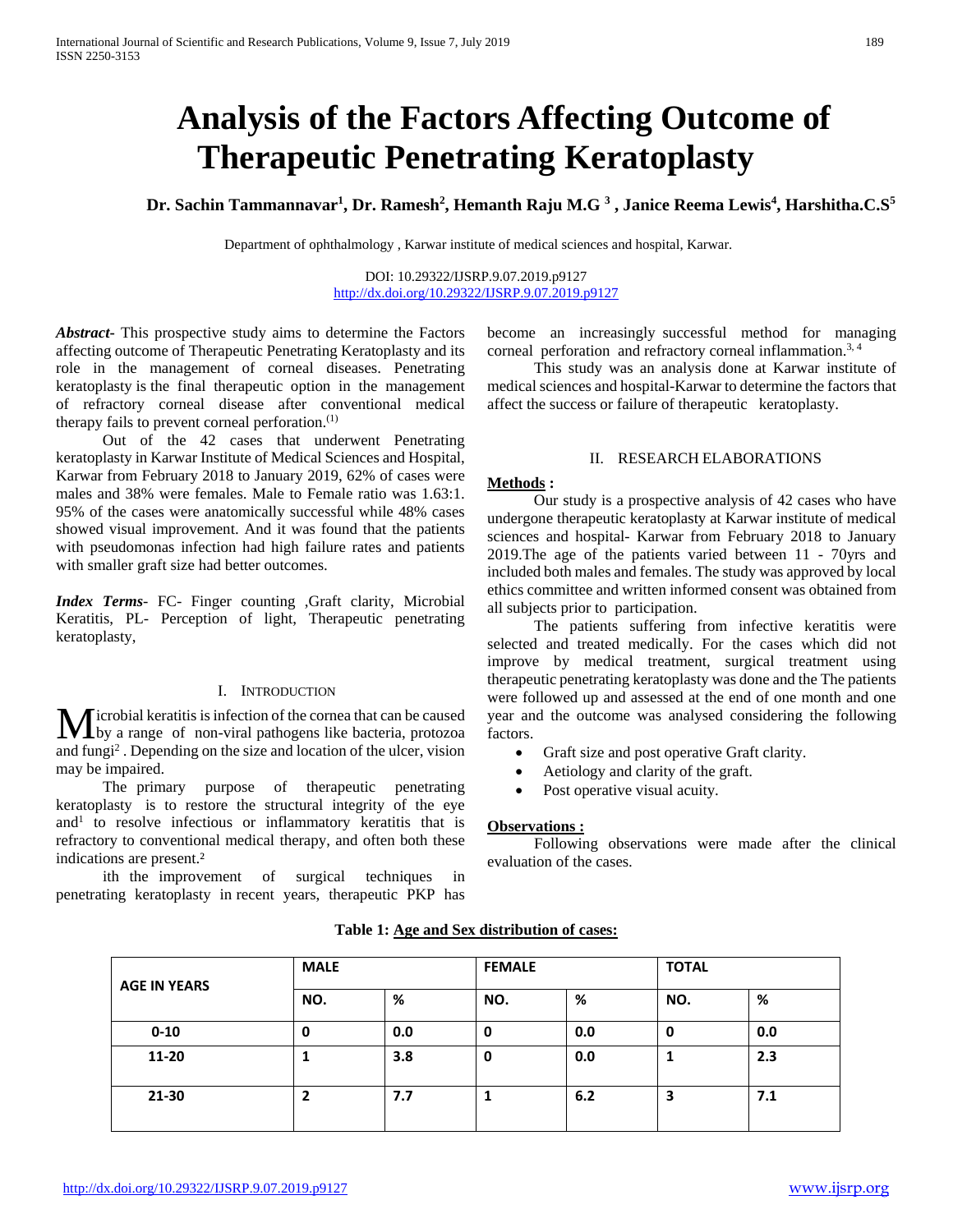# **Analysis of the Factors Affecting Outcome of Therapeutic Penetrating Keratoplasty**

**Dr. Sachin Tammannavar1 , Dr. Ramesh2 , Hemanth Raju M.G 3 , Janice Reema Lewis4 , Harshitha.C.S5**

Department of ophthalmology , Karwar institute of medical sciences and hospital, Karwar.

DOI: 10.29322/IJSRP.9.07.2019.p9127 <http://dx.doi.org/10.29322/IJSRP.9.07.2019.p9127>

*Abstract***-** This prospective study aims to determine the Factors affecting outcome of Therapeutic Penetrating Keratoplasty and its role in the management of corneal diseases. Penetrating keratoplasty is the final therapeutic option in the management of refractory corneal disease after conventional medical therapy fails to prevent corneal perforation. $(1)$ 

 Out of the 42 cases that underwent Penetrating keratoplasty in Karwar Institute of Medical Sciences and Hospital, Karwar from February 2018 to January 2019, 62% of cases were males and 38% were females. Male to Female ratio was 1.63:1. 95% of the cases were anatomically successful while 48% cases showed visual improvement. And it was found that the patients with pseudomonas infection had high failure rates and patients with smaller graft size had better outcomes.

*Index Terms*- FC- Finger counting ,Graft clarity, Microbial Keratitis, PL- Perception of light, Therapeutic penetrating keratoplasty,

#### I. INTRODUCTION

Microbial keratitis is infection of the cornea that can be caused<br>by a range of non-viral pathogens like bacteria, protozoa by a range of non-viral pathogens like bacteria, protozoa and fungi2 . Depending on the size and location of the ulcer, vision may be impaired.

 The primary purpose of therapeutic penetrating keratoplasty is to restore the structural integrity of the eye and<sup>1</sup> to resolve infectious or inflammatory keratitis that is refractory to conventional medical therapy, and often both these indications are present.<sup>2</sup>

 ith the improvement of surgical techniques in penetrating keratoplasty in recent years, therapeutic PKP has become an increasingly successful method for managing corneal perforation and refractory corneal inflammation.<sup>3, 4</sup>

 This study was an analysis done at Karwar institute of medical sciences and hospital-Karwar to determine the factors that affect the success or failure of therapeutic keratoplasty.

#### II. RESEARCH ELABORATIONS

#### **Methods :**

 Our study is a prospective analysis of 42 cases who have undergone therapeutic keratoplasty at Karwar institute of medical sciences and hospital- Karwar from February 2018 to January 2019.The age of the patients varied between 11 - 70yrs and included both males and females. The study was approved by local ethics committee and written informed consent was obtained from all subjects prior to participation.

 The patients suffering from infective keratitis were selected and treated medically. For the cases which did not improve by medical treatment, surgical treatment using therapeutic penetrating keratoplasty was done and the The patients were followed up and assessed at the end of one month and one year and the outcome was analysed considering the following factors.

- Graft size and post operative Graft clarity.
- Aetiology and clarity of the graft.
- Post operative visual acuity.

#### **Observations :**

 Following observations were made after the clinical evaluation of the cases.

|                     | <b>MALE</b> |     |     | <b>FEMALE</b> |     | <b>TOTAL</b> |  |
|---------------------|-------------|-----|-----|---------------|-----|--------------|--|
| <b>AGE IN YEARS</b> | NO.         | %   | NO. | %             | NO. | %            |  |
| $0 - 10$            | 0           | 0.0 | 0   | 0.0           | 0   | 0.0          |  |
| 11-20               |             | 3.8 | 0   | 0.0           |     | 2.3          |  |
| 21-30               | 2           | 7.7 |     | 6.2           | 3   | 7.1          |  |

#### **Table 1: Age and Sex distribution of cases:**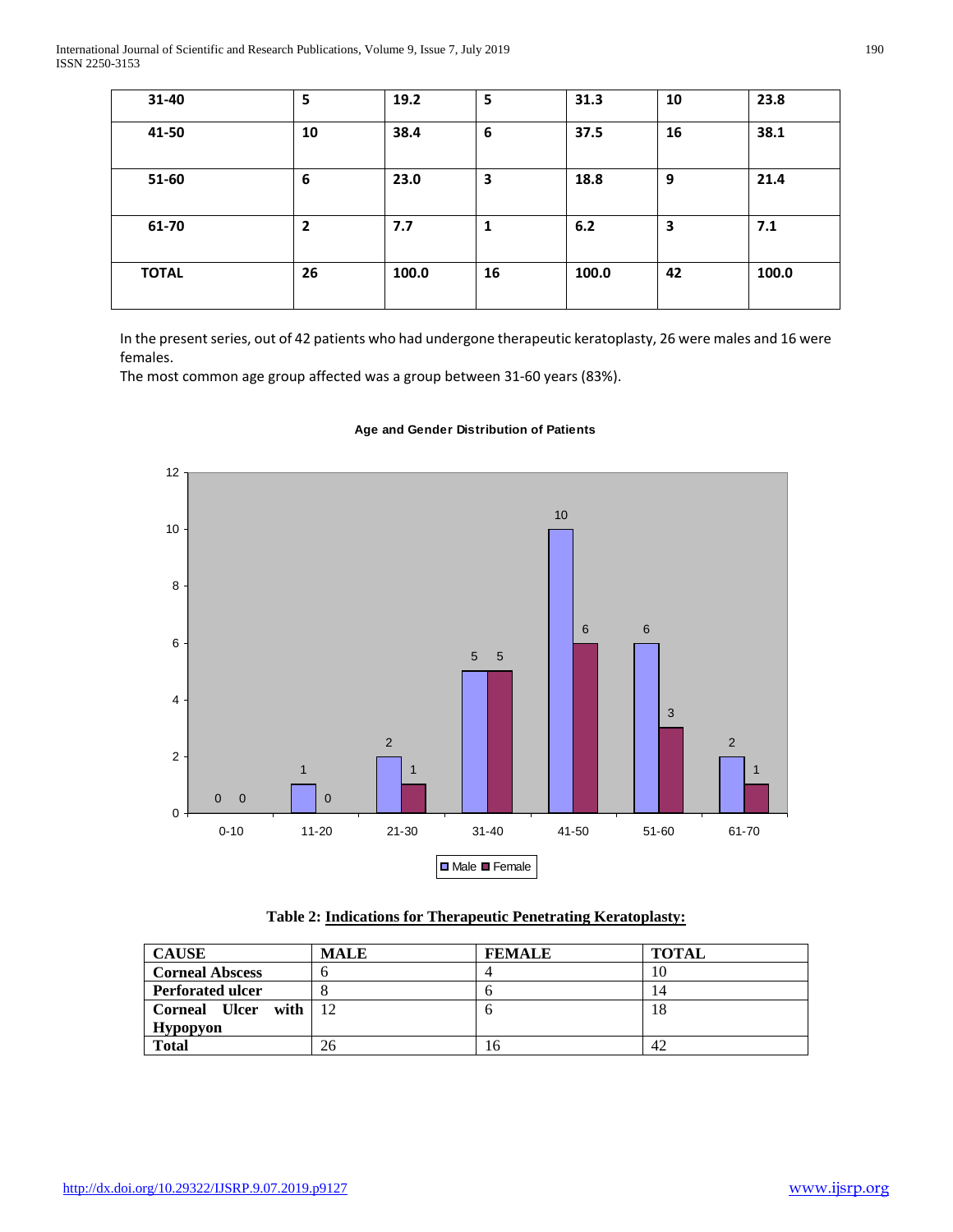| 31-40        | 5              | 19.2  | 5                       | 31.3  | 10 | 23.8  |
|--------------|----------------|-------|-------------------------|-------|----|-------|
| 41-50        | 10             | 38.4  | 6                       | 37.5  | 16 | 38.1  |
| 51-60        | 6              | 23.0  | $\overline{\mathbf{3}}$ | 18.8  | 9  | 21.4  |
| 61-70        | $\overline{2}$ | 7.7   | 1                       | 6.2   | з  | 7.1   |
| <b>TOTAL</b> | 26             | 100.0 | 16                      | 100.0 | 42 | 100.0 |

In the present series, out of 42 patients who had undergone therapeutic keratoplasty, 26 were males and 16 were females.

The most common age group affected was a group between 31-60 years (83%).



# **Age and Gender Distribution of Patients**

| Table 2: Indications for Therapeutic Penetrating Keratoplasty: |  |
|----------------------------------------------------------------|--|
|----------------------------------------------------------------|--|

| <b>CAUSE</b>            | <b>MALE</b> | <b>FEMALE</b> | <b>TOTAL</b> |
|-------------------------|-------------|---------------|--------------|
| <b>Corneal Abscess</b>  |             |               | 10           |
| <b>Perforated ulcer</b> |             | n             | 14           |
| Corneal Ulcer with 12   |             | n             | 18           |
| <b>Hypopyon</b>         |             |               |              |
| Total                   | 26          | ıб            | 42           |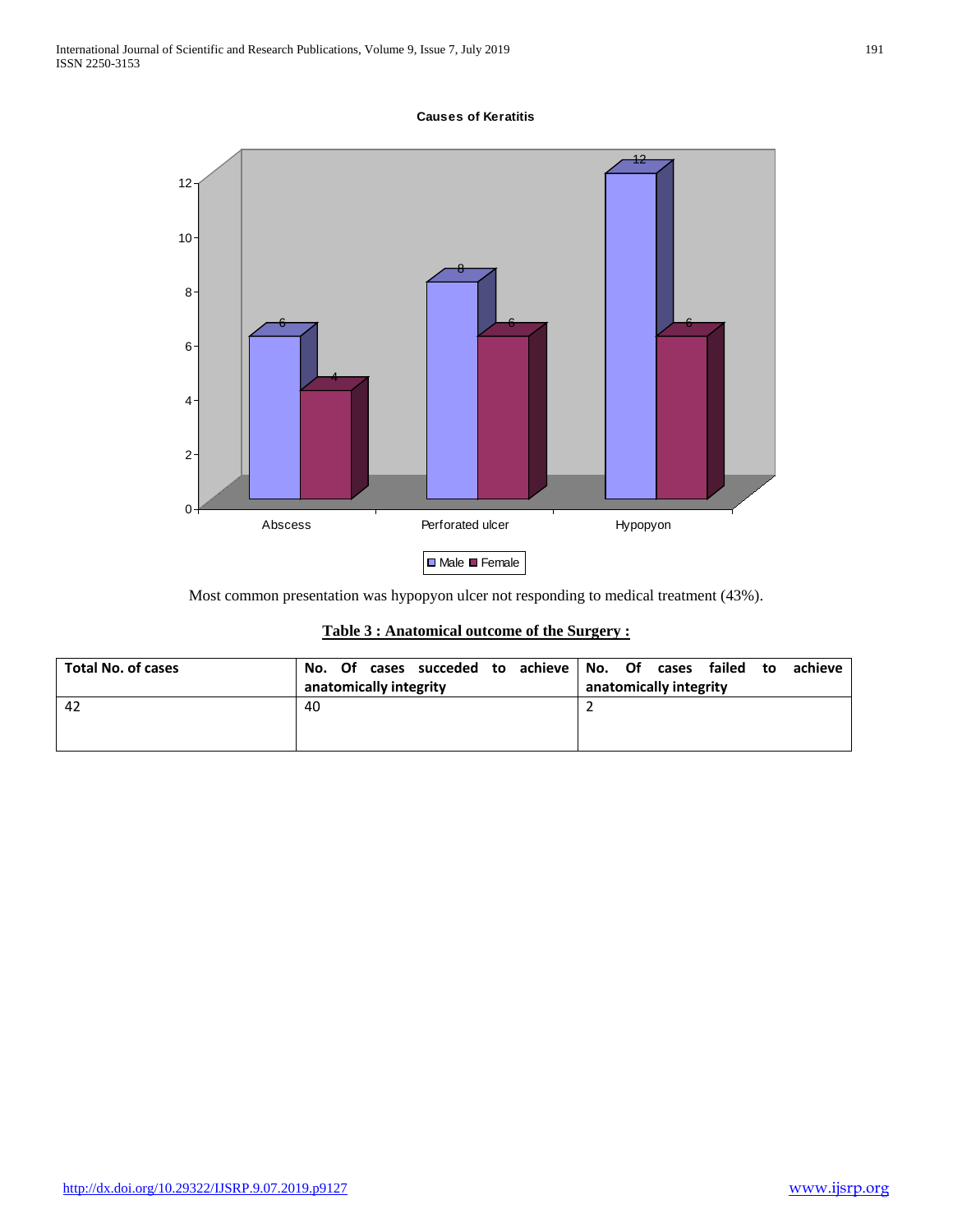### **Causes of Keratitis**



Most common presentation was hypopyon ulcer not responding to medical treatment (43%).

|  | Table 3 : Anatomical outcome of the Surgery : |  |  |  |
|--|-----------------------------------------------|--|--|--|
|  |                                               |  |  |  |

| <b>Total No. of cases</b> | Of cases succeded to achieve No. Of<br>No. | failed<br>cases<br>achieve<br>to |
|---------------------------|--------------------------------------------|----------------------------------|
|                           | anatomically integrity                     | anatomically integrity           |
| -42                       | 40                                         |                                  |
|                           |                                            |                                  |
|                           |                                            |                                  |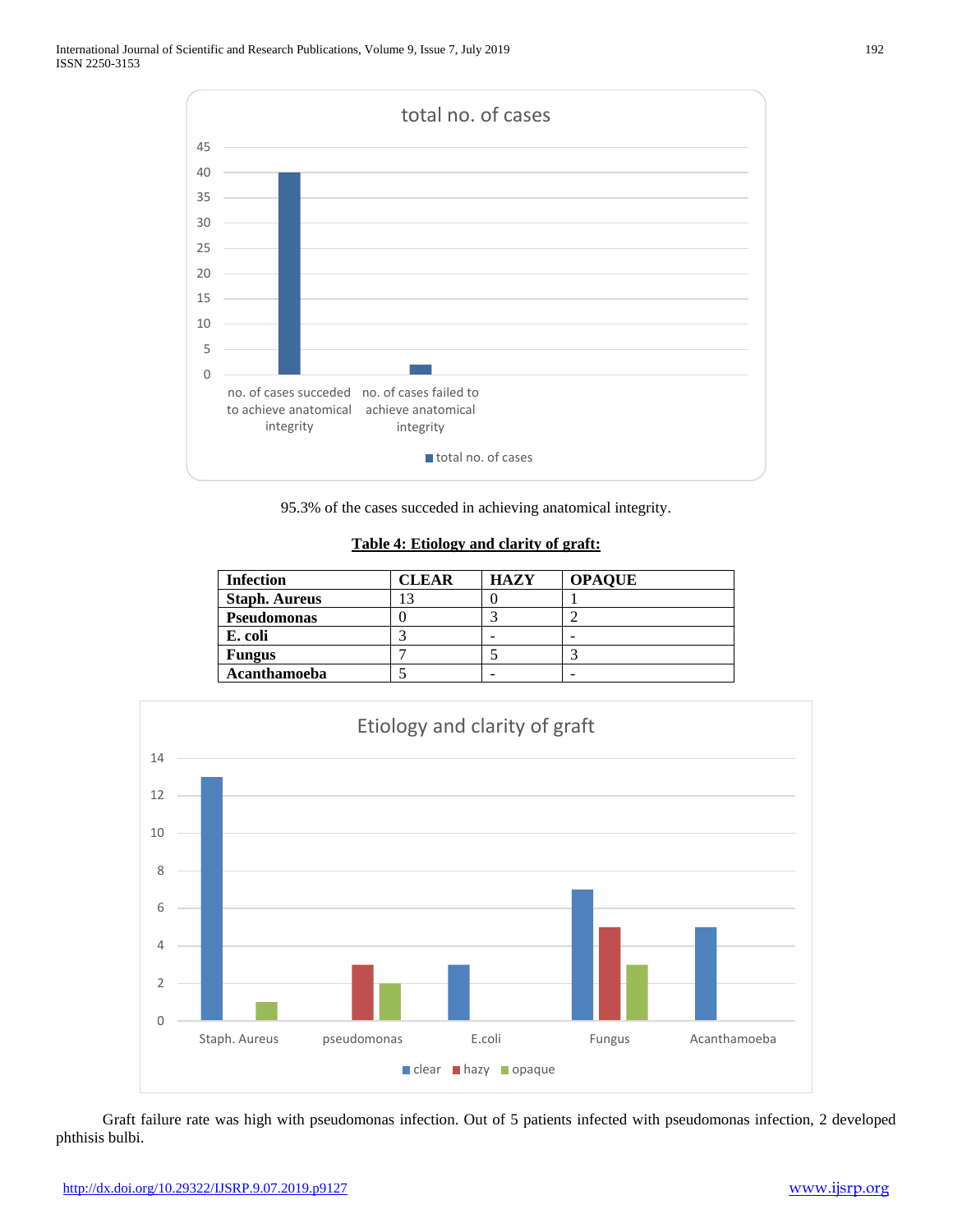

95.3% of the cases succeded in achieving anatomical integrity.

**Table 4: Etiology and clarity of graft:**

| <b>Infection</b>     | CLEAR | <b>HAZY</b> | <b>OPAQUE</b> |
|----------------------|-------|-------------|---------------|
| <b>Staph. Aureus</b> | 3     |             |               |
| <b>Pseudomonas</b>   |       |             |               |
| E. coli              |       |             |               |
| <b>Fungus</b>        |       |             |               |
| Acanthamoeba         |       |             |               |



 Graft failure rate was high with pseudomonas infection. Out of 5 patients infected with pseudomonas infection, 2 developed phthisis bulbi.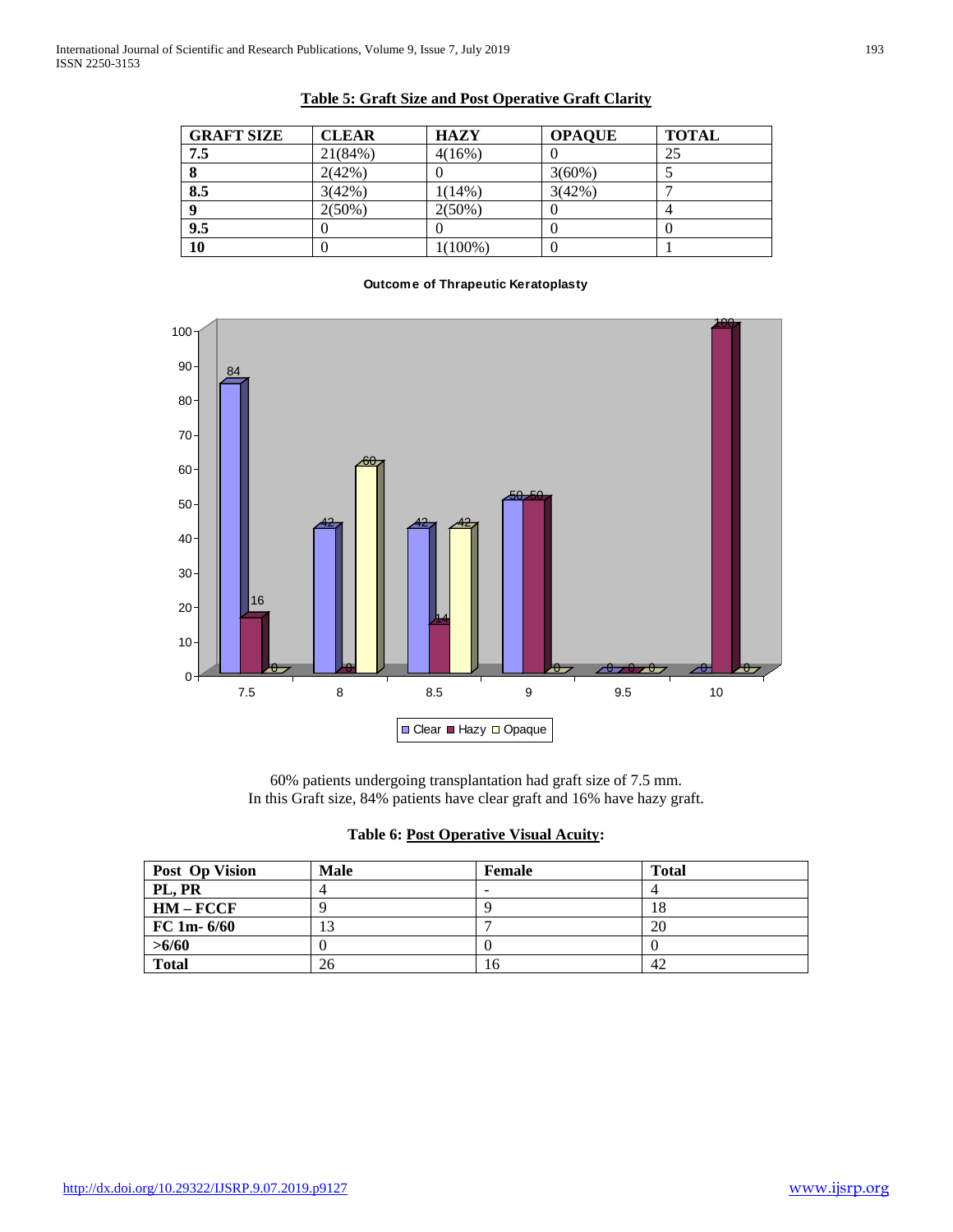| <b>GRAFT SIZE</b> | <b>CLEAR</b> | <b>HAZY</b> | <b>OPAQUE</b> | <b>TOTAL</b> |
|-------------------|--------------|-------------|---------------|--------------|
| 7.5               | 21(84%)      | 4(16%)      |               | 25           |
| 8                 | 2(42%)       |             | $3(60\%)$     |              |
| 8.5               | 3(42%)       | 1(14%)      | 3(42%)        |              |
| 9                 | $2(50\%)$    | $2(50\%)$   |               |              |
| 9.5               |              |             |               |              |
| 10                |              | $1(100\%)$  |               |              |

# **Table 5: Graft Size and Post Operative Graft Clarity**

#### **Outcome of Thrapeutic Keratoplasty**



<sup>60%</sup> patients undergoing transplantation had graft size of 7.5 mm. In this Graft size, 84% patients have clear graft and 16% have hazy graft.

|  | <b>Table 6: Post Operative Visual Acuity:</b> |  |
|--|-----------------------------------------------|--|
|  |                                               |  |

| Post Op Vision | <b>Male</b> | <b>Female</b> | <b>Total</b> |
|----------------|-------------|---------------|--------------|
| PL, PR         |             | -             |              |
| $HM - FCCF$    |             |               | 18           |
| FC 1m-6/60     |             |               | 20           |
| >6/60          |             |               |              |
| <b>Total</b>   | 26          | 16            | 42           |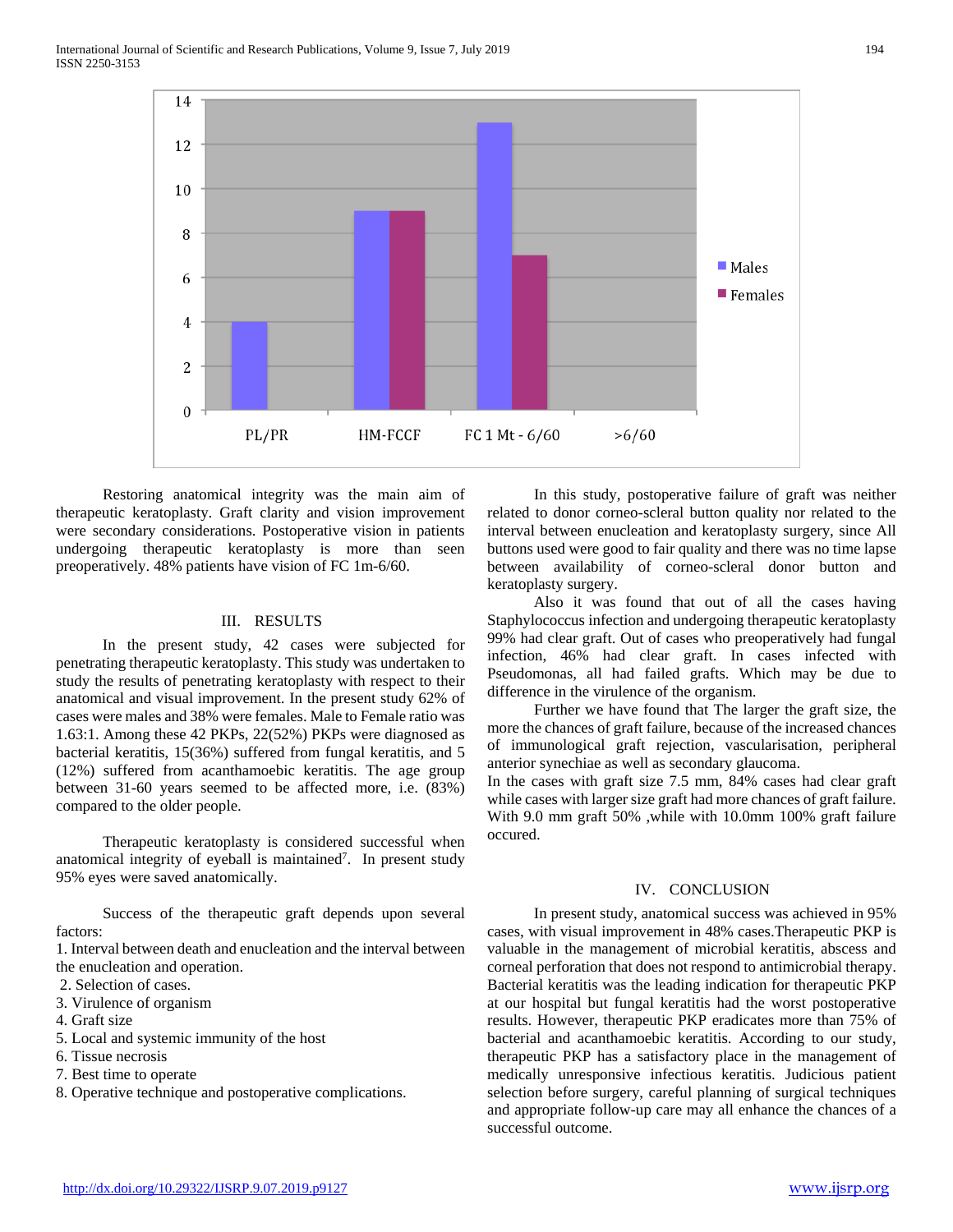

 Restoring anatomical integrity was the main aim of therapeutic keratoplasty. Graft clarity and vision improvement were secondary considerations. Postoperative vision in patients undergoing therapeutic keratoplasty is more than seen preoperatively. 48% patients have vision of FC 1m-6/60.

#### III. RESULTS

 In the present study, 42 cases were subjected for penetrating therapeutic keratoplasty. This study was undertaken to study the results of penetrating keratoplasty with respect to their anatomical and visual improvement. In the present study 62% of cases were males and 38% were females. Male to Female ratio was 1.63:1. Among these 42 PKPs, 22(52%) PKPs were diagnosed as bacterial keratitis, 15(36%) suffered from fungal keratitis, and 5 (12%) suffered from acanthamoebic keratitis. The age group between 31-60 years seemed to be affected more, i.e. (83%) compared to the older people.

 Therapeutic keratoplasty is considered successful when anatomical integrity of eyeball is maintained<sup>7</sup>. In present study 95% eyes were saved anatomically.

 Success of the therapeutic graft depends upon several factors:

1. Interval between death and enucleation and the interval between the enucleation and operation.

- 2. Selection of cases.
- 3. Virulence of organism
- 4. Graft size
- 5. Local and systemic immunity of the host
- 6. Tissue necrosis
- 7. Best time to operate
- 8. Operative technique and postoperative complications.

 In this study, postoperative failure of graft was neither related to donor corneo-scleral button quality nor related to the interval between enucleation and keratoplasty surgery, since All buttons used were good to fair quality and there was no time lapse between availability of corneo-scleral donor button and keratoplasty surgery.

 Also it was found that out of all the cases having Staphylococcus infection and undergoing therapeutic keratoplasty 99% had clear graft. Out of cases who preoperatively had fungal infection, 46% had clear graft. In cases infected with Pseudomonas, all had failed grafts. Which may be due to difference in the virulence of the organism.

 Further we have found that The larger the graft size, the more the chances of graft failure, because of the increased chances of immunological graft rejection, vascularisation, peripheral anterior synechiae as well as secondary glaucoma.

In the cases with graft size 7.5 mm, 84% cases had clear graft while cases with larger size graft had more chances of graft failure. With 9.0 mm graft 50% ,while with 10.0mm 100% graft failure occured.

#### IV. CONCLUSION

 In present study, anatomical success was achieved in 95% cases, with visual improvement in 48% cases.Therapeutic PKP is valuable in the management of microbial keratitis, abscess and corneal perforation that does not respond to antimicrobial therapy. Bacterial keratitis was the leading indication for therapeutic PKP at our hospital but fungal keratitis had the worst postoperative results. However, therapeutic PKP eradicates more than 75% of bacterial and acanthamoebic keratitis. According to our study, therapeutic PKP has a satisfactory place in the management of medically unresponsive infectious keratitis. Judicious patient selection before surgery, careful planning of surgical techniques and appropriate follow-up care may all enhance the chances of a successful outcome.